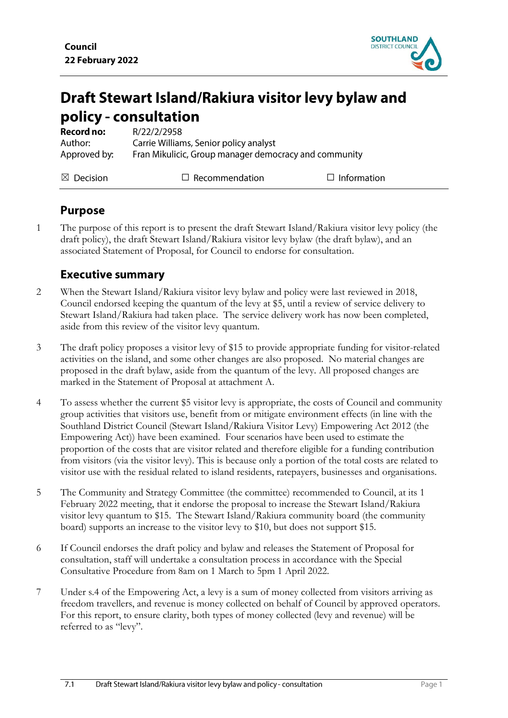

# Draft Stewart Island/Rakiura visitor levy bylaw and policy - consultation

| <b>Record no:</b>    | R/22/2/2958                                           |                    |
|----------------------|-------------------------------------------------------|--------------------|
| Author:              | Carrie Williams, Senior policy analyst                |                    |
| Approved by:         | Fran Mikulicic, Group manager democracy and community |                    |
| $\boxtimes$ Decision | $\Box$ Recommendation                                 | $\Box$ Information |

## **Purpose**

1 The purpose of this report is to present the draft Stewart Island/Rakiura visitor levy policy (the draft policy), the draft Stewart Island/Rakiura visitor levy bylaw (the draft bylaw), and an associated Statement of Proposal, for Council to endorse for consultation.

## **Executive summary**

- 2 When the Stewart Island/Rakiura visitor levy bylaw and policy were last reviewed in 2018, Council endorsed keeping the quantum of the levy at \$5, until a review of service delivery to Stewart Island/Rakiura had taken place. The service delivery work has now been completed, aside from this review of the visitor levy quantum.
- 3 The draft policy proposes a visitor levy of \$15 to provide appropriate funding for visitor-related activities on the island, and some other changes are also proposed. No material changes are proposed in the draft bylaw, aside from the quantum of the levy. All proposed changes are marked in the Statement of Proposal at attachment A.
- 4 To assess whether the current \$5 visitor levy is appropriate, the costs of Council and community group activities that visitors use, benefit from or mitigate environment effects (in line with the Southland District Council (Stewart Island/Rakiura Visitor Levy) Empowering Act 2012 (the Empowering Act)) have been examined. Four scenarios have been used to estimate the proportion of the costs that are visitor related and therefore eligible for a funding contribution from visitors (via the visitor levy). This is because only a portion of the total costs are related to visitor use with the residual related to island residents, ratepayers, businesses and organisations.
- 5 The Community and Strategy Committee (the committee) recommended to Council, at its 1 February 2022 meeting, that it endorse the proposal to increase the Stewart Island/Rakiura visitor levy quantum to \$15. The Stewart Island/Rakiura community board (the community board) supports an increase to the visitor levy to \$10, but does not support \$15.
- 6 If Council endorses the draft policy and bylaw and releases the Statement of Proposal for consultation, staff will undertake a consultation process in accordance with the Special Consultative Procedure from 8am on 1 March to 5pm 1 April 2022.
- 7 Under s.4 of the Empowering Act, a levy is a sum of money collected from visitors arriving as freedom travellers, and revenue is money collected on behalf of Council by approved operators. For this report, to ensure clarity, both types of money collected (levy and revenue) will be referred to as "levy".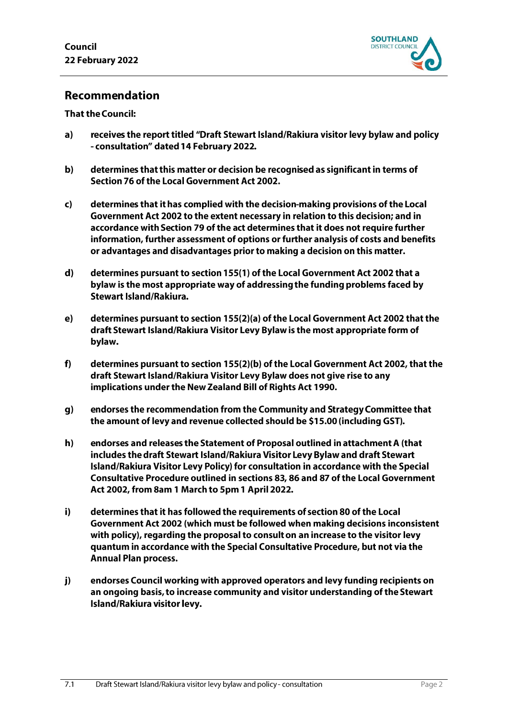

## Recommendation

#### **That the Council:**

- $a)$ receives the report titled "Draft Stewart Island/Rakiura visitor levy bylaw and policy - consultation" dated 14 February 2022.
- $\mathbf{b}$ determines that this matter or decision be recognised as significant in terms of Section 76 of the Local Government Act 2002.
- determines that it has complied with the decision-making provisions of the Local  $\mathbf{c}$ Government Act 2002 to the extent necessary in relation to this decision; and in accordance with Section 79 of the act determines that it does not require further information, further assessment of options or further analysis of costs and benefits or advantages and disadvantages prior to making a decision on this matter.
- $\mathbf{d}$ determines pursuant to section 155(1) of the Local Government Act 2002 that a bylaw is the most appropriate way of addressing the funding problems faced by **Stewart Island/Rakiura.**
- $e)$ determines pursuant to section 155(2)(a) of the Local Government Act 2002 that the draft Stewart Island/Rakiura Visitor Levy Bylaw is the most appropriate form of bylaw.
- $f$ determines pursuant to section 155(2)(b) of the Local Government Act 2002, that the draft Stewart Island/Rakiura Visitor Levy Bylaw does not give rise to any implications under the New Zealand Bill of Rights Act 1990.
- $g)$ endorses the recommendation from the Community and Strategy Committee that the amount of levy and revenue collected should be \$15.00 (including GST).
- $h)$ endorses and releases the Statement of Proposal outlined in attachment A (that includes the draft Stewart Island/Rakiura Visitor Levy Bylaw and draft Stewart Island/Rakiura Visitor Levy Policy) for consultation in accordance with the Special Consultative Procedure outlined in sections 83, 86 and 87 of the Local Government Act 2002, from 8am 1 March to 5pm 1 April 2022.
- $i)$ determines that it has followed the requirements of section 80 of the Local Government Act 2002 (which must be followed when making decisions inconsistent with policy), regarding the proposal to consult on an increase to the visitor levy quantum in accordance with the Special Consultative Procedure, but not via the **Annual Plan process.**
- endorses Council working with approved operators and levy funding recipients on  $j)$ an ongoing basis, to increase community and visitor understanding of the Stewart Island/Rakiura visitor levy.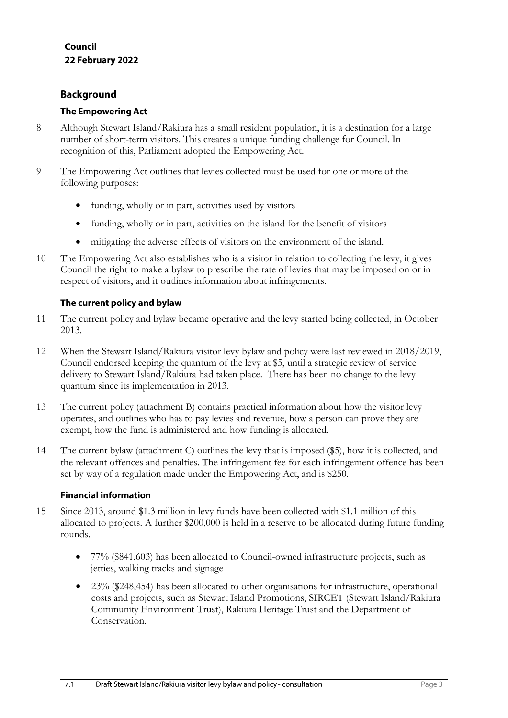## **Background**

#### **The Empowering Act**

- 8 Although Stewart Island/Rakiura has a small resident population, it is a destination for a large number of short-term visitors. This creates a unique funding challenge for Council. In recognition of this, Parliament adopted the Empowering Act.
- 9 The Empowering Act outlines that levies collected must be used for one or more of the following purposes:
	- funding, wholly or in part, activities used by visitors
	- funding, wholly or in part, activities on the island for the benefit of visitors
	- mitigating the adverse effects of visitors on the environment of the island.
- 10 The Empowering Act also establishes who is a visitor in relation to collecting the levy, it gives Council the right to make a bylaw to prescribe the rate of levies that may be imposed on or in respect of visitors, and it outlines information about infringements.

#### The current policy and bylaw

- 11 The current policy and bylaw became operative and the levy started being collected, in October 2013.
- 12 When the Stewart Island/Rakiura visitor levy bylaw and policy were last reviewed in 2018/2019, Council endorsed keeping the quantum of the levy at \$5, until a strategic review of service delivery to Stewart Island/Rakiura had taken place. There has been no change to the levy quantum since its implementation in 2013.
- 13 The current policy (attachment B) contains practical information about how the visitor levy operates, and outlines who has to pay levies and revenue, how a person can prove they are exempt, how the fund is administered and how funding is allocated.
- 14 The current bylaw (attachment C) outlines the levy that is imposed (\$5), how it is collected, and the relevant offences and penalties. The infringement fee for each infringement offence has been set by way of a regulation made under the Empowering Act, and is \$250.

#### **Financial information**

- 15 Since 2013, around \$1.3 million in levy funds have been collected with \$1.1 million of this allocated to projects. A further \$200,000 is held in a reserve to be allocated during future funding rounds.
	- 77% (\$841,603) has been allocated to Council-owned infrastructure projects, such as jetties, walking tracks and signage
	- 23% (\$248,454) has been allocated to other organisations for infrastructure, operational costs and projects, such as Stewart Island Promotions, SIRCET (Stewart Island/Rakiura Community Environment Trust), Rakiura Heritage Trust and the Department of Conservation.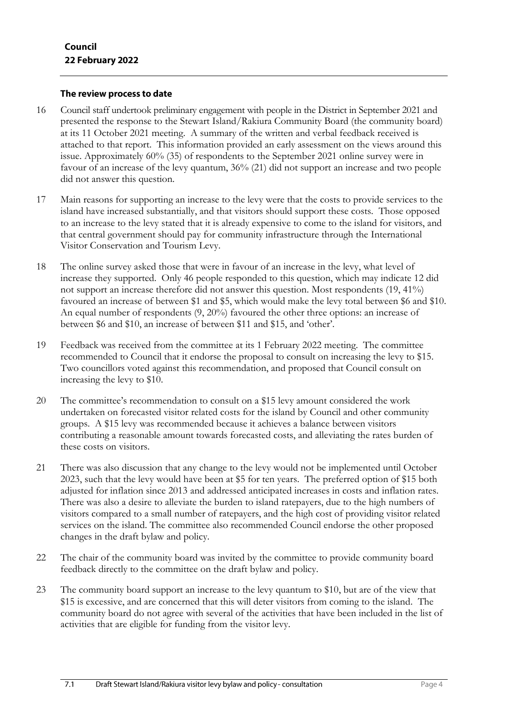#### The review process to date

- 16 Council staff undertook preliminary engagement with people in the District in September 2021 and presented the response to the Stewart Island/Rakiura Community Board (the community board) at its 11 October 2021 meeting. A summary of the written and verbal feedback received is attached to that report. This information provided an early assessment on the views around this issue. Approximately 60% (35) of respondents to the September 2021 online survey were in favour of an increase of the levy quantum, 36% (21) did not support an increase and two people did not answer this question.
- 17 Main reasons for supporting an increase to the levy were that the costs to provide services to the island have increased substantially, and that visitors should support these costs. Those opposed to an increase to the levy stated that it is already expensive to come to the island for visitors, and that central government should pay for community infrastructure through the International Visitor Conservation and Tourism Levy.
- 18 The online survey asked those that were in favour of an increase in the levy, what level of increase they supported. Only 46 people responded to this question, which may indicate 12 did not support an increase therefore did not answer this question. Most respondents (19, 41%) favoured an increase of between \$1 and \$5, which would make the levy total between \$6 and \$10. An equal number of respondents (9, 20%) favoured the other three options: an increase of between \$6 and \$10, an increase of between \$11 and \$15, and 'other'.
- 19 Feedback was received from the committee at its 1 February 2022 meeting. The committee recommended to Council that it endorse the proposal to consult on increasing the levy to \$15. Two councillors voted against this recommendation, and proposed that Council consult on increasing the levy to \$10.
- 20 The committee's recommendation to consult on a \$15 levy amount considered the work undertaken on forecasted visitor related costs for the island by Council and other community groups. A \$15 levy was recommended because it achieves a balance between visitors contributing a reasonable amount towards forecasted costs, and alleviating the rates burden of these costs on visitors.
- 21 There was also discussion that any change to the levy would not be implemented until October 2023, such that the levy would have been at \$5 for ten years. The preferred option of \$15 both adjusted for inflation since 2013 and addressed anticipated increases in costs and inflation rates. There was also a desire to alleviate the burden to island ratepayers, due to the high numbers of visitors compared to a small number of ratepayers, and the high cost of providing visitor related services on the island. The committee also recommended Council endorse the other proposed changes in the draft bylaw and policy.
- 22 The chair of the community board was invited by the committee to provide community board feedback directly to the committee on the draft bylaw and policy.
- 23 The community board support an increase to the levy quantum to \$10, but are of the view that \$15 is excessive, and are concerned that this will deter visitors from coming to the island. The community board do not agree with several of the activities that have been included in the list of activities that are eligible for funding from the visitor levy.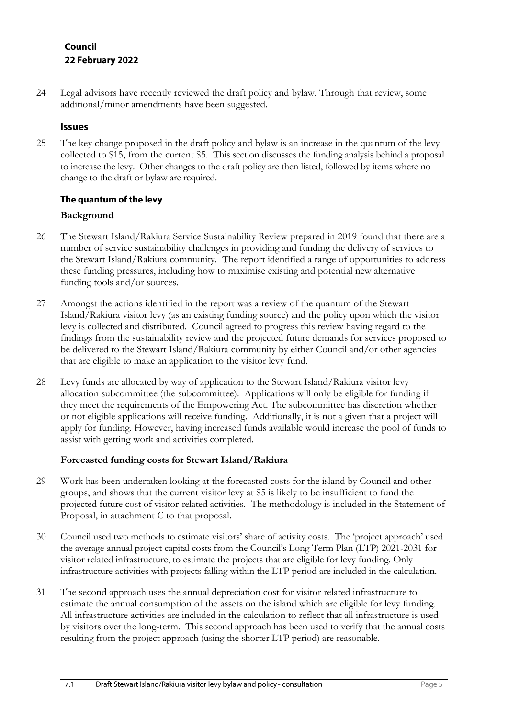24 Legal advisors have recently reviewed the draft policy and bylaw. Through that review, some additional/minor amendments have been suggested.

## **Issues**

25 The key change proposed in the draft policy and bylaw is an increase in the quantum of the levy collected to \$15, from the current \$5. This section discusses the funding analysis behind a proposal to increase the levy. Other changes to the draft policy are then listed, followed by items where no change to the draft or bylaw are required.

## The quantum of the levy

## **Background**

- 26 The Stewart Island/Rakiura Service Sustainability Review prepared in 2019 found that there are a number of service sustainability challenges in providing and funding the delivery of services to the Stewart Island/Rakiura community. The report identified a range of opportunities to address these funding pressures, including how to maximise existing and potential new alternative funding tools and/or sources.
- 27 Amongst the actions identified in the report was a review of the quantum of the Stewart Island/Rakiura visitor levy (as an existing funding source) and the policy upon which the visitor levy is collected and distributed. Council agreed to progress this review having regard to the findings from the sustainability review and the projected future demands for services proposed to be delivered to the Stewart Island/Rakiura community by either Council and/or other agencies that are eligible to make an application to the visitor levy fund.
- 28 Levy funds are allocated by way of application to the Stewart Island/Rakiura visitor levy allocation subcommittee (the subcommittee). Applications will only be eligible for funding if they meet the requirements of the Empowering Act. The subcommittee has discretion whether or not eligible applications will receive funding. Additionally, it is not a given that a project will apply for funding. However, having increased funds available would increase the pool of funds to assist with getting work and activities completed.

## **Forecasted funding costs for Stewart Island/Rakiura**

- 29 Work has been undertaken looking at the forecasted costs for the island by Council and other groups, and shows that the current visitor levy at \$5 is likely to be insufficient to fund the projected future cost of visitor-related activities. The methodology is included in the Statement of Proposal, in attachment C to that proposal.
- 30 Council used two methods to estimate visitors' share of activity costs. The 'project approach' used the average annual project capital costs from the Council's Long Term Plan (LTP) 2021-2031 for visitor related infrastructure, to estimate the projects that are eligible for levy funding. Only infrastructure activities with projects falling within the LTP period are included in the calculation.
- 31 The second approach uses the annual depreciation cost for visitor related infrastructure to estimate the annual consumption of the assets on the island which are eligible for levy funding. All infrastructure activities are included in the calculation to reflect that all infrastructure is used by visitors over the long-term. This second approach has been used to verify that the annual costs resulting from the project approach (using the shorter LTP period) are reasonable.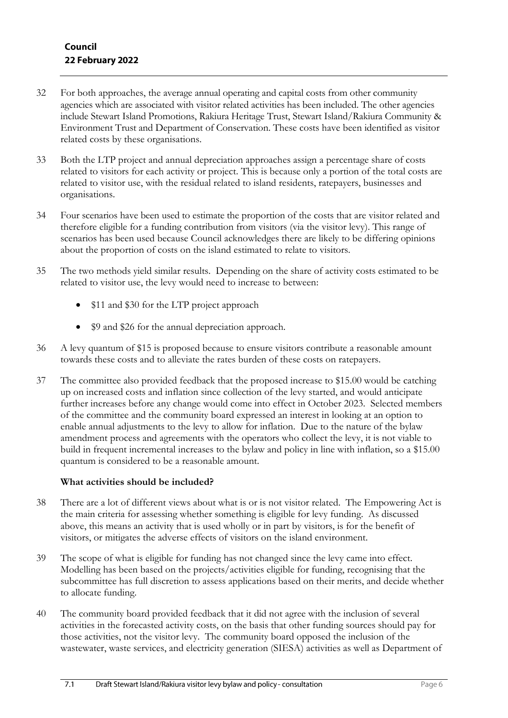- 32 For both approaches, the average annual operating and capital costs from other community agencies which are associated with visitor related activities has been included. The other agencies include Stewart Island Promotions, Rakiura Heritage Trust, Stewart Island/Rakiura Community & Environment Trust and Department of Conservation. These costs have been identified as visitor related costs by these organisations.
- 33 Both the LTP project and annual depreciation approaches assign a percentage share of costs related to visitors for each activity or project. This is because only a portion of the total costs are related to visitor use, with the residual related to island residents, ratepayers, businesses and organisations.
- 34 Four scenarios have been used to estimate the proportion of the costs that are visitor related and therefore eligible for a funding contribution from visitors (via the visitor levy). This range of scenarios has been used because Council acknowledges there are likely to be differing opinions about the proportion of costs on the island estimated to relate to visitors.
- 35 The two methods yield similar results. Depending on the share of activity costs estimated to be related to visitor use, the levy would need to increase to between:
	- \$11 and \$30 for the LTP project approach
	- \$9 and \$26 for the annual depreciation approach.
- 36 A levy quantum of \$15 is proposed because to ensure visitors contribute a reasonable amount towards these costs and to alleviate the rates burden of these costs on ratepayers.
- 37 The committee also provided feedback that the proposed increase to \$15.00 would be catching up on increased costs and inflation since collection of the levy started, and would anticipate further increases before any change would come into effect in October 2023. Selected members of the committee and the community board expressed an interest in looking at an option to enable annual adjustments to the levy to allow for inflation. Due to the nature of the bylaw amendment process and agreements with the operators who collect the levy, it is not viable to build in frequent incremental increases to the bylaw and policy in line with inflation, so a \$15.00 quantum is considered to be a reasonable amount.

#### **What activities should be included?**

- 38 There are a lot of different views about what is or is not visitor related. The Empowering Act is the main criteria for assessing whether something is eligible for levy funding. As discussed above, this means an activity that is used wholly or in part by visitors, is for the benefit of visitors, or mitigates the adverse effects of visitors on the island environment.
- 39 The scope of what is eligible for funding has not changed since the levy came into effect. Modelling has been based on the projects/activities eligible for funding, recognising that the subcommittee has full discretion to assess applications based on their merits, and decide whether to allocate funding.
- 40 The community board provided feedback that it did not agree with the inclusion of several activities in the forecasted activity costs, on the basis that other funding sources should pay for those activities, not the visitor levy. The community board opposed the inclusion of the wastewater, waste services, and electricity generation (SIESA) activities as well as Department of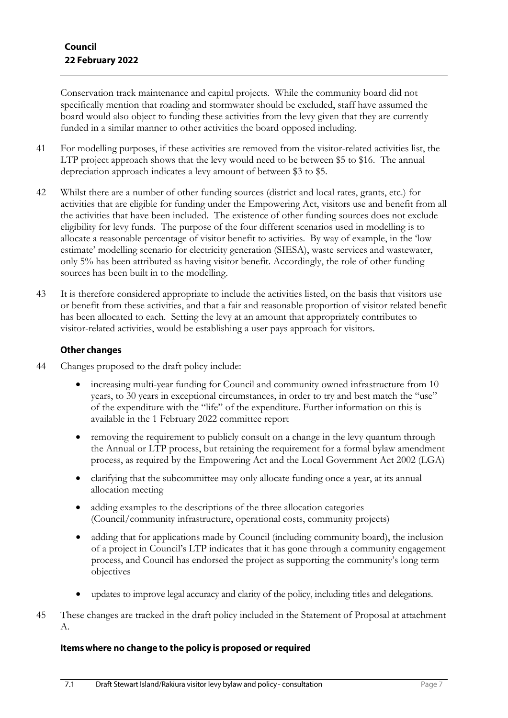Conservation track maintenance and capital projects. While the community board did not specifically mention that roading and stormwater should be excluded, staff have assumed the board would also object to funding these activities from the levy given that they are currently funded in a similar manner to other activities the board opposed including.

- 41 For modelling purposes, if these activities are removed from the visitor-related activities list, the LTP project approach shows that the levy would need to be between \$5 to \$16. The annual depreciation approach indicates a levy amount of between \$3 to \$5.
- 42 Whilst there are a number of other funding sources (district and local rates, grants, etc.) for activities that are eligible for funding under the Empowering Act, visitors use and benefit from all the activities that have been included. The existence of other funding sources does not exclude eligibility for levy funds. The purpose of the four different scenarios used in modelling is to allocate a reasonable percentage of visitor benefit to activities. By way of example, in the 'low estimate' modelling scenario for electricity generation (SIESA), waste services and wastewater, only 5% has been attributed as having visitor benefit. Accordingly, the role of other funding sources has been built in to the modelling.
- 43 It is therefore considered appropriate to include the activities listed, on the basis that visitors use or benefit from these activities, and that a fair and reasonable proportion of visitor related benefit has been allocated to each. Setting the levy at an amount that appropriately contributes to visitor-related activities, would be establishing a user pays approach for visitors.

#### **Other changes**

- 44 Changes proposed to the draft policy include:
	- increasing multi-year funding for Council and community owned infrastructure from 10 years, to 30 years in exceptional circumstances, in order to try and best match the "use" of the expenditure with the "life" of the expenditure. Further information on this is available in the 1 February 2022 committee report
	- removing the requirement to publicly consult on a change in the levy quantum through the Annual or LTP process, but retaining the requirement for a formal bylaw amendment process, as required by the Empowering Act and the Local Government Act 2002 (LGA)
	- clarifying that the subcommittee may only allocate funding once a year, at its annual allocation meeting
	- adding examples to the descriptions of the three allocation categories (Council/community infrastructure, operational costs, community projects)
	- adding that for applications made by Council (including community board), the inclusion of a project in Council's LTP indicates that it has gone through a community engagement process, and Council has endorsed the project as supporting the community's long term objectives
	- updates to improve legal accuracy and clarity of the policy, including titles and delegations.
- 45 These changes are tracked in the draft policy included in the Statement of Proposal at attachment A.

#### Items where no change to the policy is proposed or required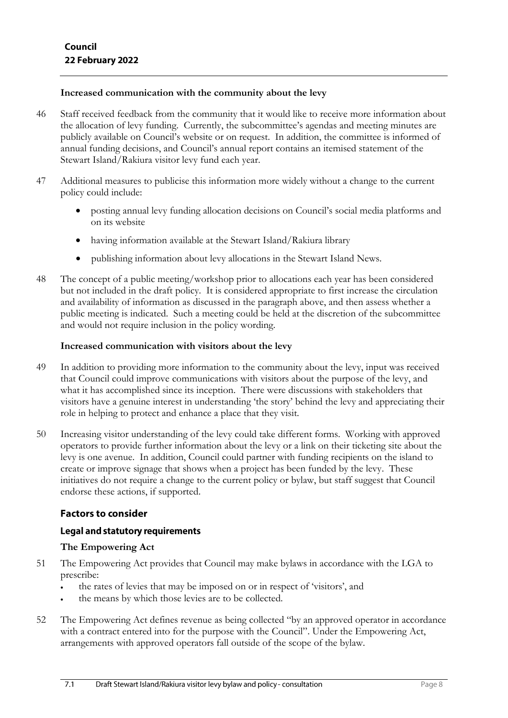#### **Increased communication with the community about the levy**

- 46 Staff received feedback from the community that it would like to receive more information about the allocation of levy funding. Currently, the subcommittee's agendas and meeting minutes are publicly available on Council's website or on request. In addition, the committee is informed of annual funding decisions, and Council's annual report contains an itemised statement of the Stewart Island/Rakiura visitor levy fund each year.
- 47 Additional measures to publicise this information more widely without a change to the current policy could include:
	- posting annual levy funding allocation decisions on Council's social media platforms and on its website
	- having information available at the Stewart Island/Rakiura library
	- publishing information about levy allocations in the Stewart Island News.
- 48 The concept of a public meeting/workshop prior to allocations each year has been considered but not included in the draft policy. It is considered appropriate to first increase the circulation and availability of information as discussed in the paragraph above, and then assess whether a public meeting is indicated. Such a meeting could be held at the discretion of the subcommittee and would not require inclusion in the policy wording.

#### **Increased communication with visitors about the levy**

- 49 In addition to providing more information to the community about the levy, input was received that Council could improve communications with visitors about the purpose of the levy, and what it has accomplished since its inception. There were discussions with stakeholders that visitors have a genuine interest in understanding 'the story' behind the levy and appreciating their role in helping to protect and enhance a place that they visit.
- 50 Increasing visitor understanding of the levy could take different forms. Working with approved operators to provide further information about the levy or a link on their ticketing site about the levy is one avenue. In addition, Council could partner with funding recipients on the island to create or improve signage that shows when a project has been funded by the levy. These initiatives do not require a change to the current policy or bylaw, but staff suggest that Council endorse these actions, if supported.

## **Factors to consider**

#### **Legal and statutory requirements**

#### **The Empowering Act**

- 51 The Empowering Act provides that Council may make bylaws in accordance with the LGA to prescribe:
	- the rates of levies that may be imposed on or in respect of 'visitors', and
	- the means by which those levies are to be collected.
- 52 The Empowering Act defines revenue as being collected "by an approved operator in accordance with a contract entered into for the purpose with the Council". Under the Empowering Act, arrangements with approved operators fall outside of the scope of the bylaw.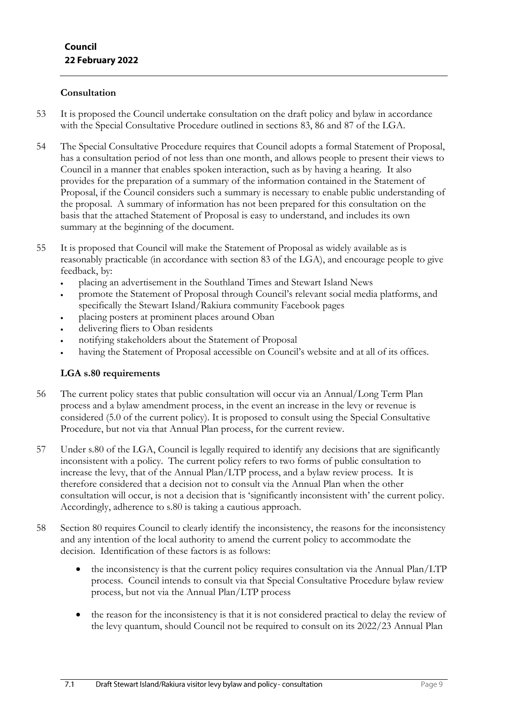#### **Consultation**

- 53 It is proposed the Council undertake consultation on the draft policy and bylaw in accordance with the Special Consultative Procedure outlined in sections 83, 86 and 87 of the LGA.
- 54 The Special Consultative Procedure requires that Council adopts a formal Statement of Proposal, has a consultation period of not less than one month, and allows people to present their views to Council in a manner that enables spoken interaction, such as by having a hearing. It also provides for the preparation of a summary of the information contained in the Statement of Proposal, if the Council considers such a summary is necessary to enable public understanding of the proposal. A summary of information has not been prepared for this consultation on the basis that the attached Statement of Proposal is easy to understand, and includes its own summary at the beginning of the document.
- 55 It is proposed that Council will make the Statement of Proposal as widely available as is reasonably practicable (in accordance with section 83 of the LGA), and encourage people to give feedback, by:
	- placing an advertisement in the Southland Times and Stewart Island News
	- promote the Statement of Proposal through Council's relevant social media platforms, and specifically the Stewart Island/Rakiura community Facebook pages
	- placing posters at prominent places around Oban
	- delivering fliers to Oban residents
	- notifying stakeholders about the Statement of Proposal
	- having the Statement of Proposal accessible on Council's website and at all of its offices.

#### **LGA s.80 requirements**

- 56 The current policy states that public consultation will occur via an Annual/Long Term Plan process and a bylaw amendment process, in the event an increase in the levy or revenue is considered (5.0 of the current policy). It is proposed to consult using the Special Consultative Procedure, but not via that Annual Plan process, for the current review.
- 57 Under s.80 of the LGA, Council is legally required to identify any decisions that are significantly inconsistent with a policy. The current policy refers to two forms of public consultation to increase the levy, that of the Annual Plan/LTP process, and a bylaw review process. It is therefore considered that a decision not to consult via the Annual Plan when the other consultation will occur, is not a decision that is 'significantly inconsistent with' the current policy. Accordingly, adherence to s.80 is taking a cautious approach.
- 58 Section 80 requires Council to clearly identify the inconsistency, the reasons for the inconsistency and any intention of the local authority to amend the current policy to accommodate the decision. Identification of these factors is as follows:
	- the inconsistency is that the current policy requires consultation via the Annual Plan/LTP process. Council intends to consult via that Special Consultative Procedure bylaw review process, but not via the Annual Plan/LTP process
	- the reason for the inconsistency is that it is not considered practical to delay the review of the levy quantum, should Council not be required to consult on its 2022/23 Annual Plan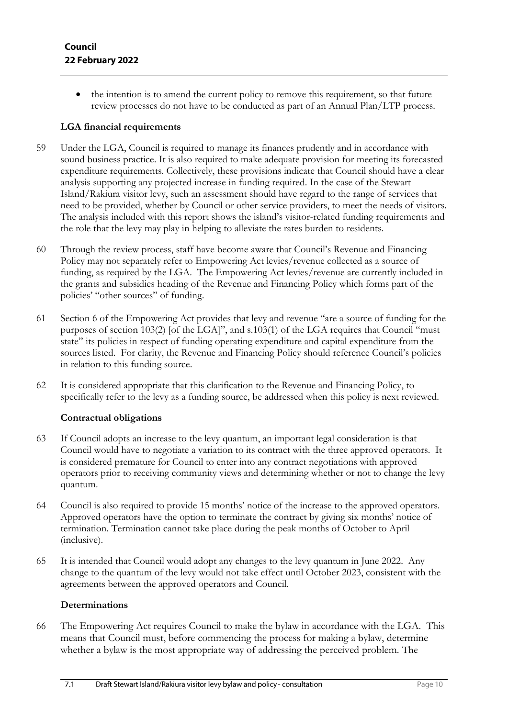the intention is to amend the current policy to remove this requirement, so that future review processes do not have to be conducted as part of an Annual Plan/LTP process.

### **LGA financial requirements**

- 59 Under the LGA, Council is required to manage its finances prudently and in accordance with sound business practice. It is also required to make adequate provision for meeting its forecasted expenditure requirements. Collectively, these provisions indicate that Council should have a clear analysis supporting any projected increase in funding required. In the case of the Stewart Island/Rakiura visitor levy, such an assessment should have regard to the range of services that need to be provided, whether by Council or other service providers, to meet the needs of visitors. The analysis included with this report shows the island's visitor-related funding requirements and the role that the levy may play in helping to alleviate the rates burden to residents.
- 60 Through the review process, staff have become aware that Council's Revenue and Financing Policy may not separately refer to Empowering Act levies/revenue collected as a source of funding, as required by the LGA. The Empowering Act levies/revenue are currently included in the grants and subsidies heading of the Revenue and Financing Policy which forms part of the policies' "other sources" of funding.
- 61 Section 6 of the Empowering Act provides that levy and revenue "are a source of funding for the purposes of section 103(2) [of the LGA]", and s.103(1) of the LGA requires that Council "must state" its policies in respect of funding operating expenditure and capital expenditure from the sources listed. For clarity, the Revenue and Financing Policy should reference Council's policies in relation to this funding source.
- 62 It is considered appropriate that this clarification to the Revenue and Financing Policy, to specifically refer to the levy as a funding source, be addressed when this policy is next reviewed.

## **Contractual obligations**

- 63 If Council adopts an increase to the levy quantum, an important legal consideration is that Council would have to negotiate a variation to its contract with the three approved operators. It is considered premature for Council to enter into any contract negotiations with approved operators prior to receiving community views and determining whether or not to change the levy quantum.
- 64 Council is also required to provide 15 months' notice of the increase to the approved operators. Approved operators have the option to terminate the contract by giving six months' notice of termination. Termination cannot take place during the peak months of October to April (inclusive).
- 65 It is intended that Council would adopt any changes to the levy quantum in June 2022. Any change to the quantum of the levy would not take effect until October 2023, consistent with the agreements between the approved operators and Council.

#### **Determinations**

66 The Empowering Act requires Council to make the bylaw in accordance with the LGA. This means that Council must, before commencing the process for making a bylaw, determine whether a bylaw is the most appropriate way of addressing the perceived problem. The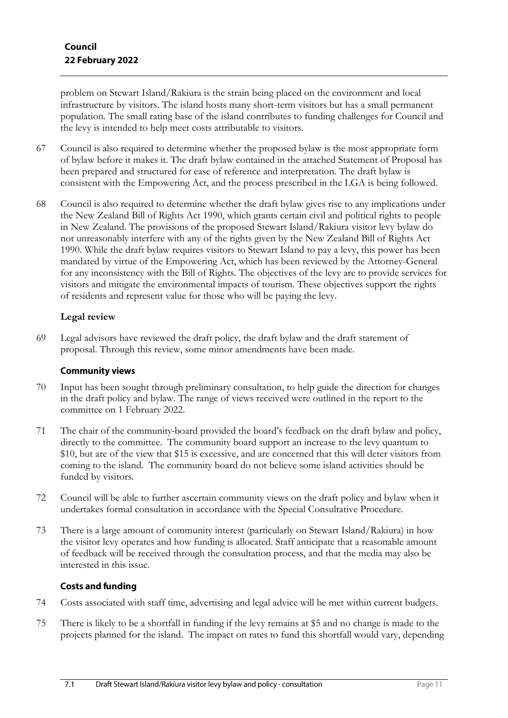problem on Stewart Island/Rakiura is the strain being placed on the environment and local infrastructure by visitors. The island hosts many short-term visitors but has a small permanent population. The small rating base of the island contributes to funding challenges for Council and the levy is intended to help meet costs attributable to visitors.

- 67 Council is also required to determine whether the proposed bylaw is the most appropriate form of bylaw before it makes it. The draft bylaw contained in the attached Statement of Proposal has been prepared and structured for ease of reference and interpretation. The draft bylaw is consistent with the Empowering Act, and the process prescribed in the LGA is being followed.
- 68 Council is also required to determine whether the draft bylaw gives rise to any implications under the New Zealand Bill of Rights Act 1990, which grants certain civil and political rights to people in New Zealand. The provisions of the proposed Stewart Island/Rakiura visitor levy bylaw do not unreasonably interfere with any of the rights given by the New Zealand Bill of Rights Act 1990. While the draft bylaw requires visitors to Stewart Island to pay a levy, this power has been mandated by virtue of the Empowering Act, which has been reviewed by the Attorney-General for any inconsistency with the Bill of Rights. The objectives of the levy are to provide services for visitors and mitigate the environmental impacts of tourism. These objectives support the rights of residents and represent value for those who will be paying the levy.

#### **Legal review**

69 Legal advisors have reviewed the draft policy, the draft bylaw and the draft statement of proposal. Through this review, some minor amendments have been made.

#### **Community views**

- 70 Input has been sought through preliminary consultation, to help guide the direction for changes in the draft policy and bylaw. The range of views received were outlined in the report to the committee on 1 February 2022.
- 71 The chair of the community board provided the board's feedback on the draft bylaw and policy, directly to the committee. The community board support an increase to the levy quantum to \$10, but are of the view that \$15 is excessive, and are concerned that this will deter visitors from coming to the island. The community board do not believe some island activities should be funded by visitors.
- 72 Council will be able to further ascertain community views on the draft policy and bylaw when it undertakes formal consultation in accordance with the Special Consultative Procedure.
- 73 There is a large amount of community interest (particularly on Stewart Island/Rakiura) in how the visitor levy operates and how funding is allocated. Staff anticipate that a reasonable amount of feedback will be received through the consultation process, and that the media may also be interested in this issue.

#### **Costs and funding**

- 74 Costs associated with staff time, advertising and legal advice will be met within current budgets.
- 75 There is likely to be a shortfall in funding if the levy remains at \$5 and no change is made to the projects planned for the island. The impact on rates to fund this shortfall would vary, depending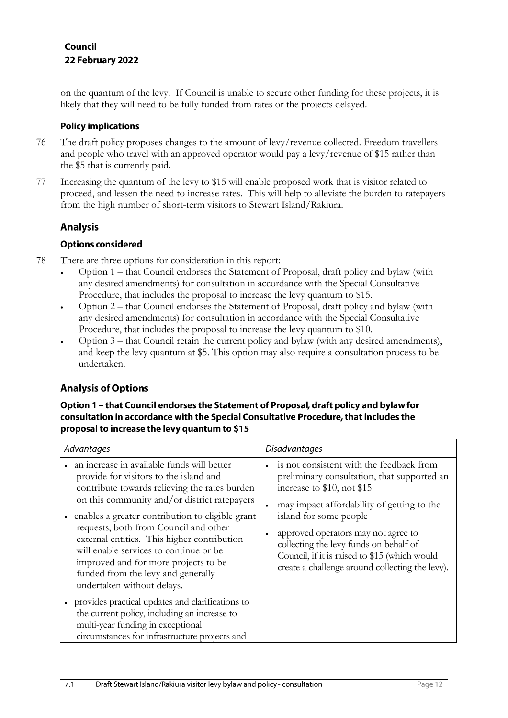on the quantum of the levy. If Council is unable to secure other funding for these projects, it is likely that they will need to be fully funded from rates or the projects delayed.

### **Policy implications**

- 76 The draft policy proposes changes to the amount of levy/revenue collected. Freedom travellers and people who travel with an approved operator would pay a levy/revenue of \$15 rather than the \$5 that is currently paid.
- 77 Increasing the quantum of the levy to \$15 will enable proposed work that is visitor related to proceed, and lessen the need to increase rates. This will help to alleviate the burden to ratepayers from the high number of short-term visitors to Stewart Island/Rakiura.

## **Analysis**

## **Options considered**

- 78 There are three options for consideration in this report:
	- Option 1 that Council endorses the Statement of Proposal, draft policy and bylaw (with any desired amendments) for consultation in accordance with the Special Consultative Procedure, that includes the proposal to increase the levy quantum to \$15.
	- Option 2 that Council endorses the Statement of Proposal, draft policy and bylaw (with any desired amendments) for consultation in accordance with the Special Consultative Procedure, that includes the proposal to increase the levy quantum to \$10.
	- Option 3 that Council retain the current policy and bylaw (with any desired amendments), and keep the levy quantum at \$5. This option may also require a consultation process to be undertaken.

## **Analysis of Options**

#### Option 1 - that Council endorses the Statement of Proposal, draft policy and bylaw for consultation in accordance with the Special Consultative Procedure, that includes the proposal to increase the levy quantum to \$15

| Advantages                                                                                                                                                                                                                                                                                                                                                                                                                                                                              | <b>Disadvantages</b>                                                                                                                                                                                                                                                                                                                                                               |
|-----------------------------------------------------------------------------------------------------------------------------------------------------------------------------------------------------------------------------------------------------------------------------------------------------------------------------------------------------------------------------------------------------------------------------------------------------------------------------------------|------------------------------------------------------------------------------------------------------------------------------------------------------------------------------------------------------------------------------------------------------------------------------------------------------------------------------------------------------------------------------------|
| an increase in available funds will better<br>provide for visitors to the island and<br>contribute towards relieving the rates burden<br>on this community and/or district ratepayers<br>enables a greater contribution to eligible grant<br>requests, both from Council and other<br>external entities. This higher contribution<br>will enable services to continue or be<br>improved and for more projects to be<br>funded from the levy and generally<br>undertaken without delays. | is not consistent with the feedback from<br>preliminary consultation, that supported an<br>increase to \$10, not \$15<br>may impact affordability of getting to the<br>island for some people<br>approved operators may not agree to<br>collecting the levy funds on behalf of<br>Council, if it is raised to \$15 (which would<br>create a challenge around collecting the levy). |
| • provides practical updates and clarifications to<br>the current policy, including an increase to<br>multi-year funding in exceptional<br>circumstances for infrastructure projects and                                                                                                                                                                                                                                                                                                |                                                                                                                                                                                                                                                                                                                                                                                    |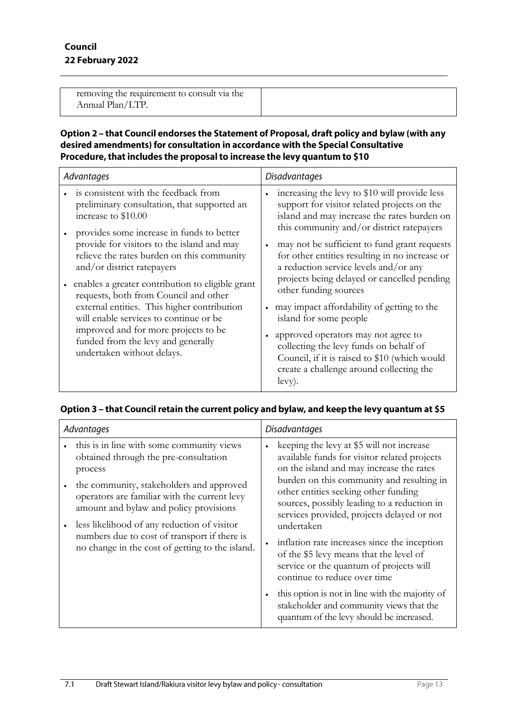| removing the requirement to consult via the |  |
|---------------------------------------------|--|
| Annual Plan/LTP.                            |  |
|                                             |  |

#### Option 2 - that Council endorses the Statement of Proposal, draft policy and bylaw (with any desired amendments) for consultation in accordance with the Special Consultative Procedure, that includes the proposal to increase the levy quantum to \$10

| Advantages                                                                                                                                                                                                                                                                                                                                                                                                                                                                                                                                                                          | <b>Disadvantages</b>                                                                                                                                                                                                                                                                                                                                                                                                                                                                                                                                                                                                                                                        |
|-------------------------------------------------------------------------------------------------------------------------------------------------------------------------------------------------------------------------------------------------------------------------------------------------------------------------------------------------------------------------------------------------------------------------------------------------------------------------------------------------------------------------------------------------------------------------------------|-----------------------------------------------------------------------------------------------------------------------------------------------------------------------------------------------------------------------------------------------------------------------------------------------------------------------------------------------------------------------------------------------------------------------------------------------------------------------------------------------------------------------------------------------------------------------------------------------------------------------------------------------------------------------------|
| is consistent with the feedback from<br>preliminary consultation, that supported an<br>increase to \$10.00<br>provides some increase in funds to better<br>provide for visitors to the island and may<br>relieve the rates burden on this community<br>and/or district ratepayers<br>enables a greater contribution to eligible grant<br>requests, both from Council and other<br>external entities. This higher contribution<br>will enable services to continue or be<br>improved and for more projects to be<br>funded from the levy and generally<br>undertaken without delays. | increasing the levy to \$10 will provide less<br>support for visitor related projects on the<br>island and may increase the rates burden on<br>this community and/or district ratepayers<br>may not be sufficient to fund grant requests<br>for other entities resulting in no increase or<br>a reduction service levels and/or any<br>projects being delayed or cancelled pending<br>other funding sources<br>may impact affordability of getting to the<br>island for some people<br>approved operators may not agree to<br>collecting the levy funds on behalf of<br>Council, if it is raised to \$10 (which would<br>create a challenge around collecting the<br>levy). |

## Option 3 - that Council retain the current policy and bylaw, and keep the levy quantum at \$5

| Advantages                                                                                                                                                                                                                                                                                                                                                                            | <b>Disadvantages</b>                                                                                                                                                                                                                                                                                                                                                                                                                                                                                                                                                                                                    |
|---------------------------------------------------------------------------------------------------------------------------------------------------------------------------------------------------------------------------------------------------------------------------------------------------------------------------------------------------------------------------------------|-------------------------------------------------------------------------------------------------------------------------------------------------------------------------------------------------------------------------------------------------------------------------------------------------------------------------------------------------------------------------------------------------------------------------------------------------------------------------------------------------------------------------------------------------------------------------------------------------------------------------|
| this is in line with some community views<br>obtained through the pre-consultation<br>process<br>the community, stakeholders and approved<br>operators are familiar with the current levy<br>amount and bylaw and policy provisions<br>less likelihood of any reduction of visitor<br>numbers due to cost of transport if there is<br>no change in the cost of getting to the island. | keeping the levy at \$5 will not increase<br>$\bullet$<br>available funds for visitor related projects<br>on the island and may increase the rates<br>burden on this community and resulting in<br>other entities seeking other funding<br>sources, possibly leading to a reduction in<br>services provided, projects delayed or not<br>undertaken<br>inflation rate increases since the inception<br>of the \$5 levy means that the level of<br>service or the quantum of projects will<br>continue to reduce over time<br>this option is not in line with the majority of<br>stakeholder and community views that the |
|                                                                                                                                                                                                                                                                                                                                                                                       | quantum of the levy should be increased.                                                                                                                                                                                                                                                                                                                                                                                                                                                                                                                                                                                |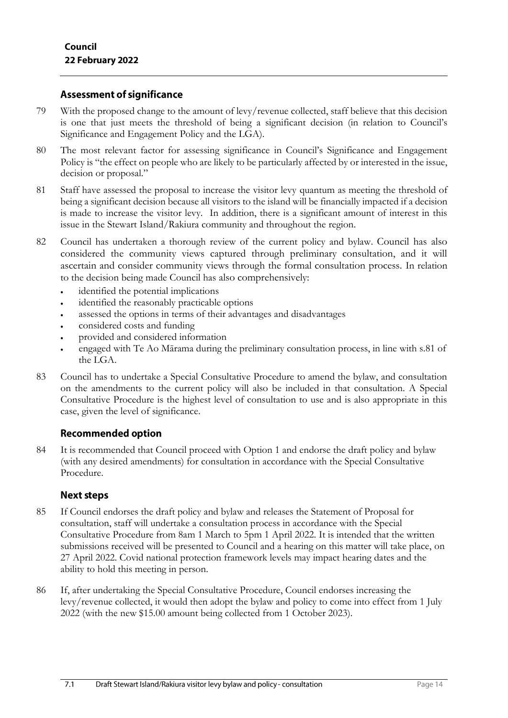## **Assessment of significance**

- 79 With the proposed change to the amount of levy/revenue collected, staff believe that this decision is one that just meets the threshold of being a significant decision (in relation to Council's Significance and Engagement Policy and the LGA).
- 80 The most relevant factor for assessing significance in Council's Significance and Engagement Policy is "the effect on people who are likely to be particularly affected by or interested in the issue, decision or proposal."
- 81 Staff have assessed the proposal to increase the visitor levy quantum as meeting the threshold of being a significant decision because all visitors to the island will be financially impacted if a decision is made to increase the visitor levy. In addition, there is a significant amount of interest in this issue in the Stewart Island/Rakiura community and throughout the region.
- 82 Council has undertaken a thorough review of the current policy and bylaw. Council has also considered the community views captured through preliminary consultation, and it will ascertain and consider community views through the formal consultation process. In relation to the decision being made Council has also comprehensively:
	- identified the potential implications
	- identified the reasonably practicable options
	- assessed the options in terms of their advantages and disadvantages
	- considered costs and funding
	- provided and considered information
	- engaged with Te Ao Mārama during the preliminary consultation process, in line with s.81 of the LGA.
- 83 Council has to undertake a Special Consultative Procedure to amend the bylaw, and consultation on the amendments to the current policy will also be included in that consultation. A Special Consultative Procedure is the highest level of consultation to use and is also appropriate in this case, given the level of significance.

## **Recommended option**

84 It is recommended that Council proceed with Option 1 and endorse the draft policy and bylaw (with any desired amendments) for consultation in accordance with the Special Consultative Procedure.

## **Next steps**

- 85 If Council endorses the draft policy and bylaw and releases the Statement of Proposal for consultation, staff will undertake a consultation process in accordance with the Special Consultative Procedure from 8am 1 March to 5pm 1 April 2022. It is intended that the written submissions received will be presented to Council and a hearing on this matter will take place, on 27 April 2022. Covid national protection framework levels may impact hearing dates and the ability to hold this meeting in person.
- 86 If, after undertaking the Special Consultative Procedure, Council endorses increasing the levy/revenue collected, it would then adopt the bylaw and policy to come into effect from 1 July 2022 (with the new \$15.00 amount being collected from 1 October 2023).